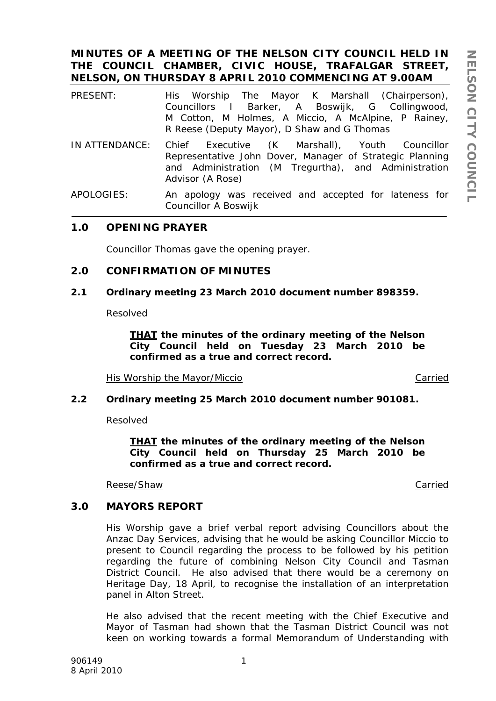## **MINUTES OF A MEETING OF THE NELSON CITY COUNCIL HELD IN THE COUNCIL CHAMBER, CIVIC HOUSE, TRAFALGAR STREET, NELSON, ON THURSDAY 8 APRIL 2010 COMMENCING AT 9.00AM**

- PRESENT: His Worship The Mayor K Marshall (Chairperson), Councillors I Barker, A Boswijk, G Collingwood, M Cotton, M Holmes, A Miccio, A McAlpine, P Rainey, R Reese (Deputy Mayor), D Shaw and G Thomas
- IN ATTENDANCE: Chief Executive (K Marshall), Youth Councillor Representative John Dover, Manager of Strategic Planning and Administration (M Tregurtha), and Administration Advisor (A Rose)
- APOLOGIES: An apology was received and accepted for lateness for Councillor A Boswijk

### **1.0 OPENING PRAYER**

Councillor Thomas gave the opening prayer.

### **2.0 CONFIRMATION OF MINUTES**

### **2.1 Ordinary meeting 23 March 2010 document number 898359.**

Resolved

*THAT the minutes of the ordinary meeting of the Nelson City Council held on Tuesday 23 March 2010 be confirmed as a true and correct record.* 

His Worship the Mayor/Miccio Carried

### **2.2 Ordinary meeting 25 March 2010 document number 901081.**

Resolved

*THAT the minutes of the ordinary meeting of the Nelson City Council held on Thursday 25 March 2010 be confirmed as a true and correct record.* 

Reese/Shaw Carried

### **3.0 MAYORS REPORT**

His Worship gave a brief verbal report advising Councillors about the Anzac Day Services, advising that he would be asking Councillor Miccio to present to Council regarding the process to be followed by his petition regarding the future of combining Nelson City Council and Tasman District Council. He also advised that there would be a ceremony on Heritage Day, 18 April, to recognise the installation of an interpretation panel in Alton Street.

He also advised that the recent meeting with the Chief Executive and Mayor of Tasman had shown that the Tasman District Council was not keen on working towards a formal Memorandum of Understanding with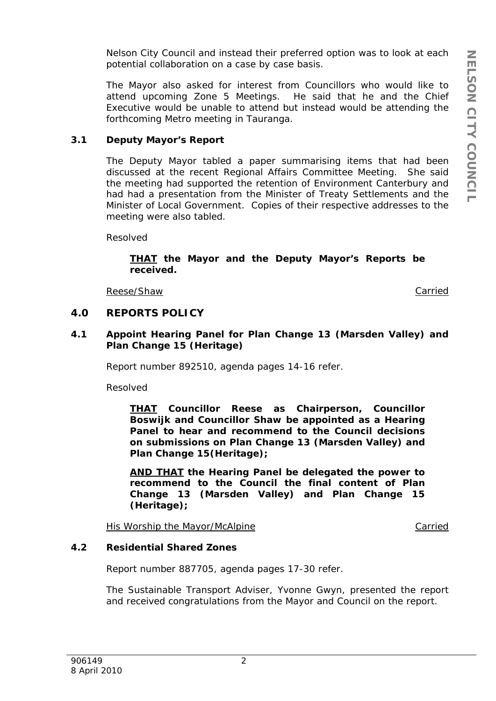Nelson City Council and instead their preferred option was to look at each potential collaboration on a case by case basis.

The Mayor also asked for interest from Councillors who would like to attend upcoming Zone 5 Meetings. He said that he and the Chief Executive would be unable to attend but instead would be attending the forthcoming Metro meeting in Tauranga.

### **3.1 Deputy Mayor's Report**

The Deputy Mayor tabled a paper summarising items that had been discussed at the recent Regional Affairs Committee Meeting. She said the meeting had supported the retention of Environment Canterbury and had had a presentation from the Minister of Treaty Settlements and the Minister of Local Government. Copies of their respective addresses to the meeting were also tabled.

Resolved

*THAT the Mayor and the Deputy Mayor's Reports be received.* 

Reese/Shaw Carried Carried Carried Carried Carried Carried Carried Carried Carried Carried Carried Carried Carried Carried Carried Carried Carried Carried Carried Carried Carried Carried Carried Carried Carried Carried Car

## **4.0 REPORTS POLICY**

**4.1 Appoint Hearing Panel for Plan Change 13 (Marsden Valley) and Plan Change 15 (Heritage)** 

Report number 892510, agenda pages 14-16 refer.

Resolved

*THAT Councillor Reese as Chairperson, Councillor Boswijk and Councillor Shaw be appointed as a Hearing Panel to hear and recommend to the Council decisions on submissions on Plan Change 13 (Marsden Valley) and Plan Change 15(Heritage);* 

*AND THAT the Hearing Panel be delegated the power to recommend to the Council the final content of Plan Change 13 (Marsden Valley) and Plan Change 15 (Heritage);* 

His Worship the Mayor/McAlpine Carried Carried

### **4.2 Residential Shared Zones**

Report number 887705, agenda pages 17-30 refer.

The Sustainable Transport Adviser, Yvonne Gwyn, presented the report and received congratulations from the Mayor and Council on the report.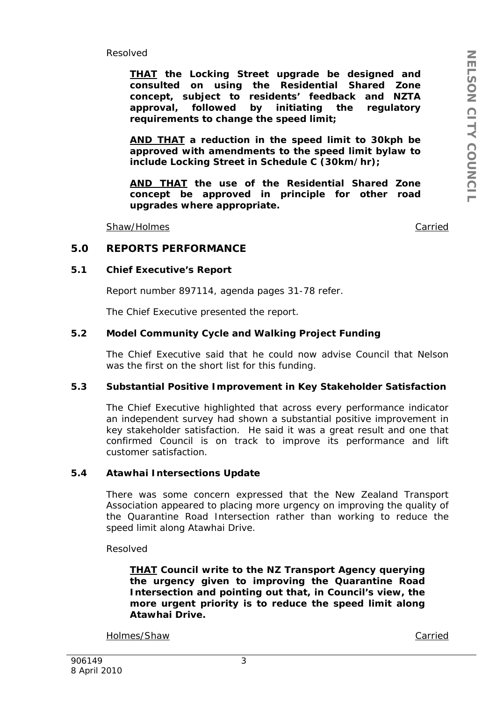Resolved

*THAT the Locking Street upgrade be designed and consulted on using the Residential Shared Zone concept, subject to residents' feedback and NZTA approval, followed by initiating the regulatory requirements to change the speed limit;*

*AND THAT a reduction in the speed limit to 30kph be approved with amendments to the speed limit bylaw to include Locking Street in Schedule C (30km/hr);* 

*AND THAT the use of the Residential Shared Zone concept be approved in principle for other road upgrades where appropriate.*

Shaw/Holmes **Carried** Carried Carried Carried Carried Carried Carried Carried Carried Carried Carried Carried Carried Carried Carried Carried Carried Carried Carried Carried Carried Carried Carried Carried Carried Carried

### **5.0 REPORTS PERFORMANCE**

#### **5.1 Chief Executive's Report**

Report number 897114, agenda pages 31-78 refer.

The Chief Executive presented the report.

### **5.2 Model Community Cycle and Walking Project Funding**

The Chief Executive said that he could now advise Council that Nelson was the first on the short list for this funding.

### **5.3 Substantial Positive Improvement in Key Stakeholder Satisfaction**

The Chief Executive highlighted that across every performance indicator an independent survey had shown a substantial positive improvement in key stakeholder satisfaction. He said it was a great result and one that confirmed Council is on track to improve its performance and lift customer satisfaction.

#### **5.4 Atawhai Intersections Update**

There was some concern expressed that the New Zealand Transport Association appeared to placing more urgency on improving the quality of the Quarantine Road Intersection rather than working to reduce the speed limit along Atawhai Drive.

Resolved

*THAT Council write to the NZ Transport Agency querying the urgency given to improving the Quarantine Road Intersection and pointing out that, in Council's view, the more urgent priority is to reduce the speed limit along Atawhai Drive.* 

Holmes/Shaw Carried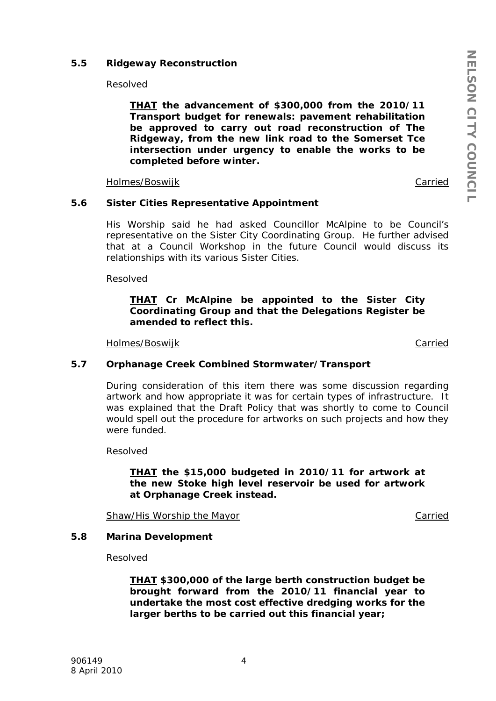### **5.5 Ridgeway Reconstruction**

Resolved

*THAT the advancement of \$300,000 from the 2010/11 Transport budget for renewals: pavement rehabilitation be approved to carry out road reconstruction of The Ridgeway, from the new link road to the Somerset Tce intersection under urgency to enable the works to be completed before winter.* 

Holmes/Boswijk **Carried** 

### **5.6 Sister Cities Representative Appointment**

His Worship said he had asked Councillor McAlpine to be Council's representative on the Sister City Coordinating Group. He further advised that at a Council Workshop in the future Council would discuss its relationships with its various Sister Cities.

Resolved

### *THAT Cr McAlpine be appointed to the Sister City Coordinating Group and that the Delegations Register be amended to reflect this.*

Holmes/Boswijk Carried

### **5.7 Orphanage Creek Combined Stormwater/Transport**

During consideration of this item there was some discussion regarding artwork and how appropriate it was for certain types of infrastructure. It was explained that the Draft Policy that was shortly to come to Council would spell out the procedure for artworks on such projects and how they were funded.

Resolved

*THAT the \$15,000 budgeted in 2010/11 for artwork at the new Stoke high level reservoir be used for artwork at Orphanage Creek instead.* 

Shaw/His Worship the Mayor Carried Carried

### **5.8 Marina Development**

Resolved

*THAT \$300,000 of the large berth construction budget be brought forward from the 2010/11 financial year to undertake the most cost effective dredging works for the larger berths to be carried out this financial year;*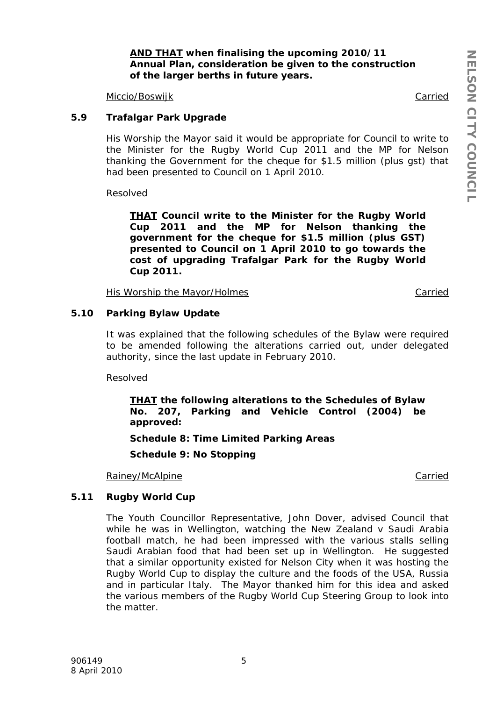### *AND THAT when finalising the upcoming 2010/11 Annual Plan, consideration be given to the construction of the larger berths in future years.*

Miccio/Boswijk Carried

### **5.9 Trafalgar Park Upgrade**

His Worship the Mayor said it would be appropriate for Council to write to the Minister for the Rugby World Cup 2011 and the MP for Nelson thanking the Government for the cheque for \$1.5 million (plus gst) that had been presented to Council on 1 April 2010.

Resolved

*THAT Council write to the Minister for the Rugby World Cup 2011 and the MP for Nelson thanking the government for the cheque for \$1.5 million (plus GST) presented to Council on 1 April 2010 to go towards the cost of upgrading Trafalgar Park for the Rugby World Cup 2011.* 

His Worship the Mayor/Holmes Carried

### **5.10 Parking Bylaw Update**

It was explained that the following schedules of the Bylaw were required to be amended following the alterations carried out, under delegated authority, since the last update in February 2010.

Resolved

*THAT the following alterations to the Schedules of Bylaw No. 207, Parking and Vehicle Control (2004) be approved:* 

*Schedule 8: Time Limited Parking Areas* 

*Schedule 9: No Stopping* 

Rainey/McAlpine **Carried** 

### **5.11 Rugby World Cup**

The Youth Councillor Representative, John Dover, advised Council that while he was in Wellington, watching the New Zealand v Saudi Arabia football match, he had been impressed with the various stalls selling Saudi Arabian food that had been set up in Wellington. He suggested that a similar opportunity existed for Nelson City when it was hosting the Rugby World Cup to display the culture and the foods of the USA, Russia and in particular Italy. The Mayor thanked him for this idea and asked the various members of the Rugby World Cup Steering Group to look into the matter.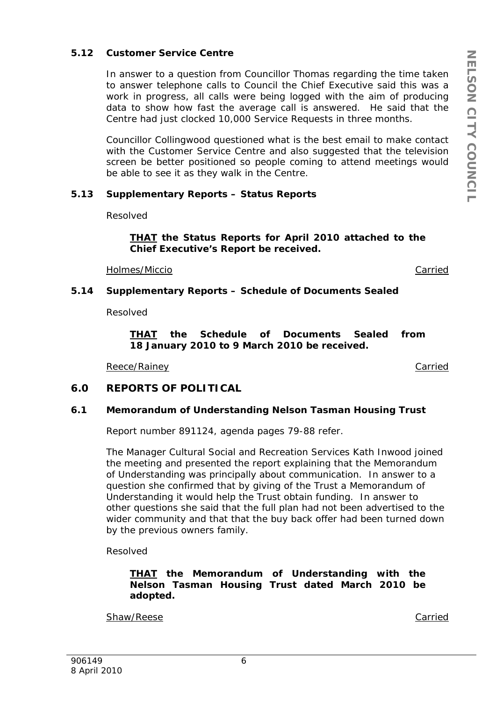### **5.12 Customer Service Centre**

In answer to a question from Councillor Thomas regarding the time taken to answer telephone calls to Council the Chief Executive said this was a work in progress, all calls were being logged with the aim of producing data to show how fast the average call is answered. He said that the Centre had just clocked 10,000 Service Requests in three months.

Councillor Collingwood questioned what is the best email to make contact with the Customer Service Centre and also suggested that the television screen be better positioned so people coming to attend meetings would be able to see it as they walk in the Centre.

#### **5.13 Supplementary Reports – Status Reports**

Resolved

*THAT the Status Reports for April 2010 attached to the Chief Executive's Report be received.* 

Holmes/Miccio Carried

### **5.14 Supplementary Reports – Schedule of Documents Sealed**

Resolved

*THAT the Schedule of Documents Sealed from 18 January 2010 to 9 March 2010 be received.* 

Reece/Rainey **Carried** 

### **6.0 REPORTS OF POLITICAL**

#### **6.1 Memorandum of Understanding Nelson Tasman Housing Trust**

Report number 891124, agenda pages 79-88 refer.

The Manager Cultural Social and Recreation Services Kath Inwood joined the meeting and presented the report explaining that the Memorandum of Understanding was principally about communication. In answer to a question she confirmed that by giving of the Trust a Memorandum of Understanding it would help the Trust obtain funding. In answer to other questions she said that the full plan had not been advertised to the wider community and that that the buy back offer had been turned down by the previous owners family.

Resolved

### *THAT the Memorandum of Understanding with the Nelson Tasman Housing Trust dated March 2010 be adopted.*

Shaw/Reese Carried Carried Carried Carried Carried Carried Carried Carried Carried Carried Carried Carried Carried Carried Carried Carried Carried Carried Carried Carried Carried Carried Carried Carried Carried Carried Car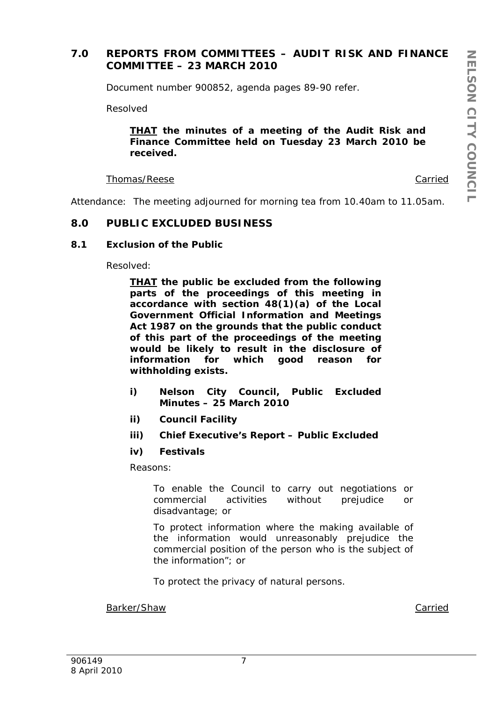## **7.0 REPORTS FROM COMMITTEES – AUDIT RISK AND FINANCE COMMITTEE – 23 MARCH 2010**

Document number 900852, agenda pages 89-90 refer.

Resolved

### *THAT the minutes of a meeting of the Audit Risk and Finance Committee held on Tuesday 23 March 2010 be received.*

### Thomas/Reese Carried

Attendance: The meeting adjourned for morning tea from 10.40am to 11.05am.

### **8.0 PUBLIC EXCLUDED BUSINESS**

### **8.1 Exclusion of the Public**

Resolved:

*THAT the public be excluded from the following parts of the proceedings of this meeting in accordance with section 48(1)(a) of the Local Government Official Information and Meetings Act 1987 on the grounds that the public conduct of this part of the proceedings of the meeting would be likely to result in the disclosure of information for which good reason for withholding exists.* 

- *i) Nelson City Council, Public Excluded Minutes – 25 March 2010*
- *ii) Council Facility*
- *iii) Chief Executive's Report Public Excluded*
- *iv) Festivals*

*Reasons:* 

*To enable the Council to carry out negotiations or commercial activities without prejudice or disadvantage; or* 

*To protect information where the making available of the information would unreasonably prejudice the commercial position of the person who is the subject of the information"; or* 

*To protect the privacy of natural persons.* 

Barker/Shaw Carried